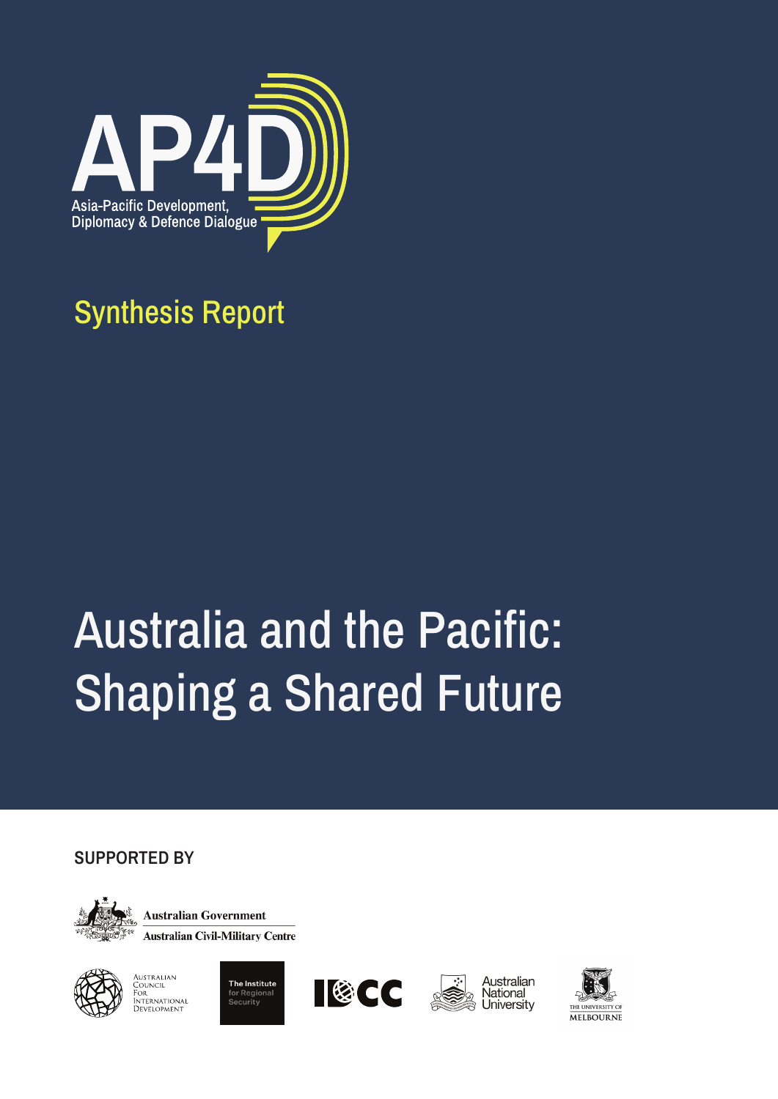

## Synthesis Report

# Australia and the Pacific: Shaping a Shared Future

**SUPPORTED BY**



**Australian Government Australian Civil-Military Centre** 



Australian<br>Council<br>For<br>International DEVELOPMENT







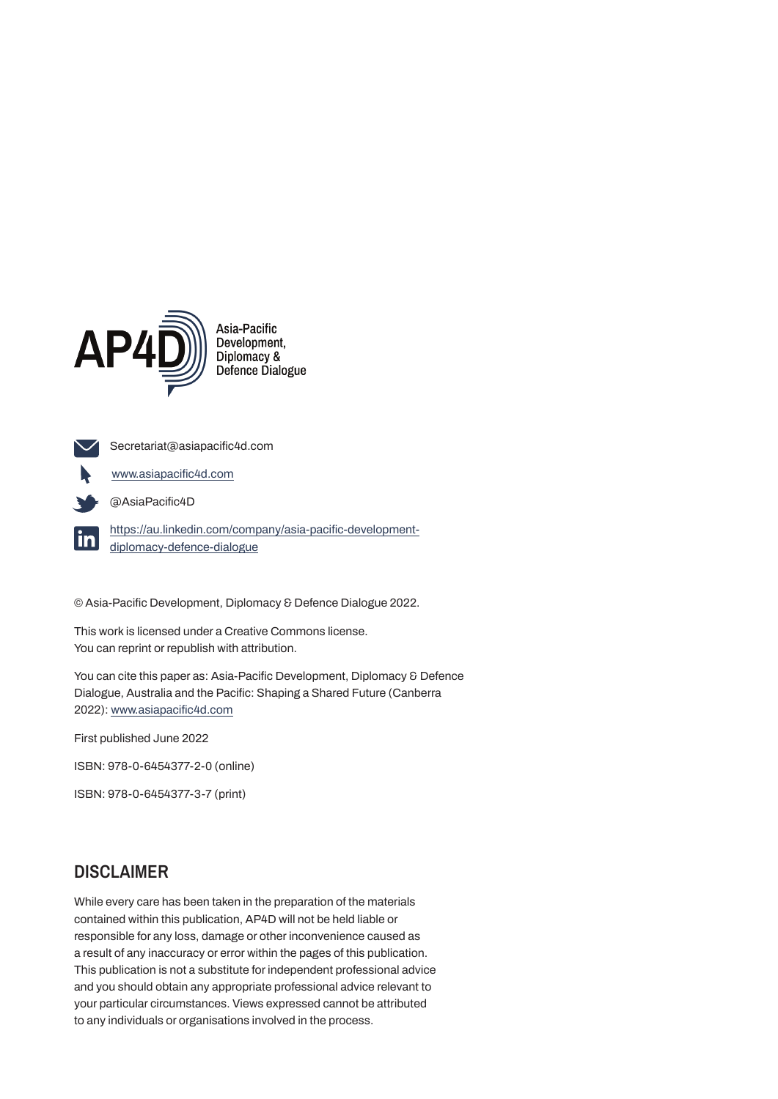

**www.asiapacific4d.com**

**Secretariat@asiapacific4d.com**

**@AsiaPacific4D**

**https://au.linkedin.com/company/asia-pacific-development**lin. **diplomacy-defence-dialogue**

**© Asia-Pacific Development, Diplomacy & Defence Dialogue 2022.**

**This work is licensed under a Creative Commons license. You can reprint or republish with attribution.**

**You can cite this paper as: Asia-Pacific Development, Diplomacy & Defence Dialogue, Australia and the Pacific: Shaping a Shared Future (Canberra 2022): www.asiapacific4d.com**

**First published June 2022**

**ISBN: 978-0-6454377-2-0 (online)** 

**ISBN: 978-0-6454377-3-7 (print)**

#### **DISCLAIMER**

**While every care has been taken in the preparation of the materials contained within this publication, AP4D will not be held liable or responsible for any loss, damage or other inconvenience caused as a result of any inaccuracy or error within the pages of this publication. This publication is not a substitute for independent professional advice and you should obtain any appropriate professional advice relevant to your particular circumstances. Views expressed cannot be attributed to any individuals or organisations involved in the process.**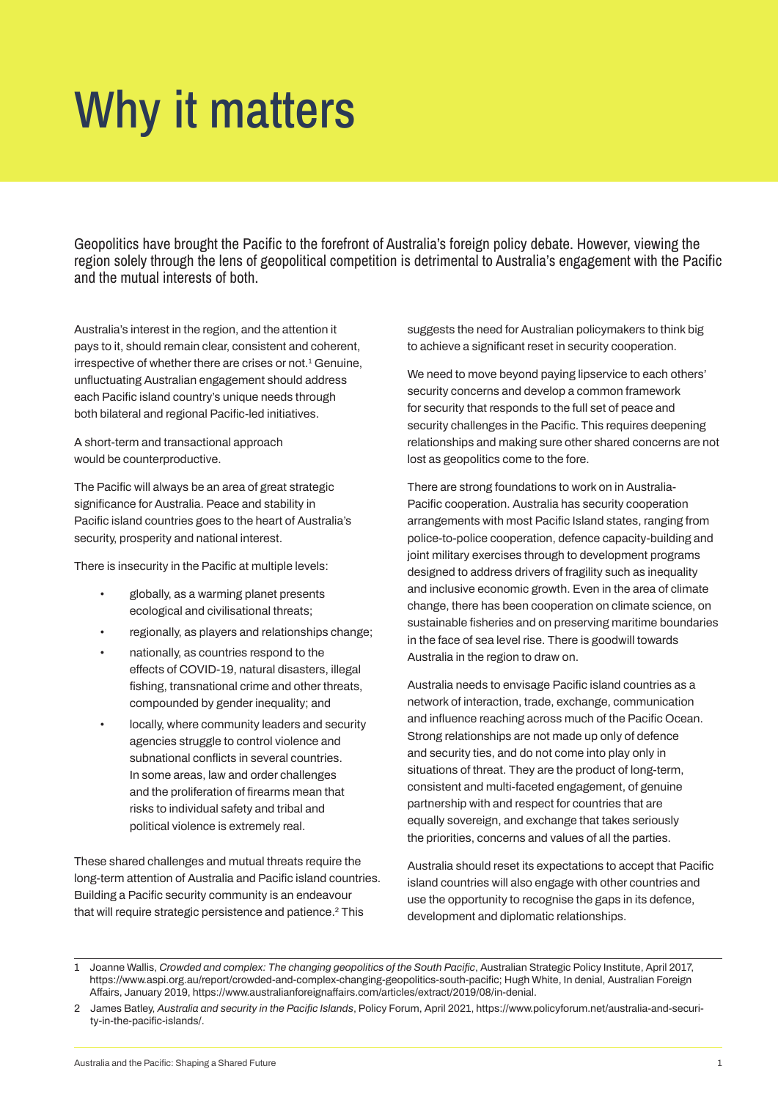## Why it matters

Geopolitics have brought the Pacific to the forefront of Australia's foreign policy debate. However, viewing the region solely through the lens of geopolitical competition is detrimental to Australia's engagement with the Pacific and the mutual interests of both.

**Australia's interest in the region, and the attention it pays to it, should remain clear, consistent and coherent, irrespective of whether there are crises or not.<sup>1</sup> Genuine, unfluctuating Australian engagement should address each Pacific island country's unique needs through both bilateral and regional Pacific-led initiatives.**

**A short-term and transactional approach would be counterproductive.**

**The Pacific will always be an area of great strategic significance for Australia. Peace and stability in Pacific island countries goes to the heart of Australia's security, prosperity and national interest.**

**There is insecurity in the Pacific at multiple levels:**

- **• globally, as a warming planet presents ecological and civilisational threats;**
- **• regionally, as players and relationships change;**
- **• nationally, as countries respond to the effects of COVID-19, natural disasters, illegal fishing, transnational crime and other threats, compounded by gender inequality; and**
- **• locally, where community leaders and security agencies struggle to control violence and subnational conflicts in several countries. In some areas, law and order challenges and the proliferation of firearms mean that risks to individual safety and tribal and political violence is extremely real.**

**These shared challenges and mutual threats require the long-term attention of Australia and Pacific island countries. Building a Pacific security community is an endeavour that will require strategic persistence and patience.2 This** 

**suggests the need for Australian policymakers to think big to achieve a significant reset in security cooperation.** 

**We need to move beyond paying lipservice to each others' security concerns and develop a common framework for security that responds to the full set of peace and security challenges in the Pacific. This requires deepening relationships and making sure other shared concerns are not lost as geopolitics come to the fore.** 

**There are strong foundations to work on in Australia-Pacific cooperation. Australia has security cooperation arrangements with most Pacific Island states, ranging from police-to-police cooperation, defence capacity-building and joint military exercises through to development programs designed to address drivers of fragility such as inequality and inclusive economic growth. Even in the area of climate change, there has been cooperation on climate science, on sustainable fisheries and on preserving maritime boundaries in the face of sea level rise. There is goodwill towards Australia in the region to draw on.**

**Australia needs to envisage Pacific island countries as a network of interaction, trade, exchange, communication and influence reaching across much of the Pacific Ocean. Strong relationships are not made up only of defence and security ties, and do not come into play only in situations of threat. They are the product of long-term, consistent and multi-faceted engagement, of genuine partnership with and respect for countries that are equally sovereign, and exchange that takes seriously the priorities, concerns and values of all the parties.**

**Australia should reset its expectations to accept that Pacific island countries will also engage with other countries and use the opportunity to recognise the gaps in its defence, development and diplomatic relationships.**

**<sup>1</sup> Joanne Wallis,** *Crowded and complex: The changing geopolitics of the South Pacific***, Australian Strategic Policy Institute, April 2017, https://www.aspi.org.au/report/crowded-and-complex-changing-geopolitics-south-pacific; Hugh White, In denial, Australian Foreign Affairs, January 2019, https://www.australianforeignaffairs.com/articles/extract/2019/08/in-denial.**

**<sup>2</sup> James Batley,** *Australia and security in the Pacific Islands***, Policy Forum, April 2021, https://www.policyforum.net/australia-and-security-in-the-pacific-islands/.**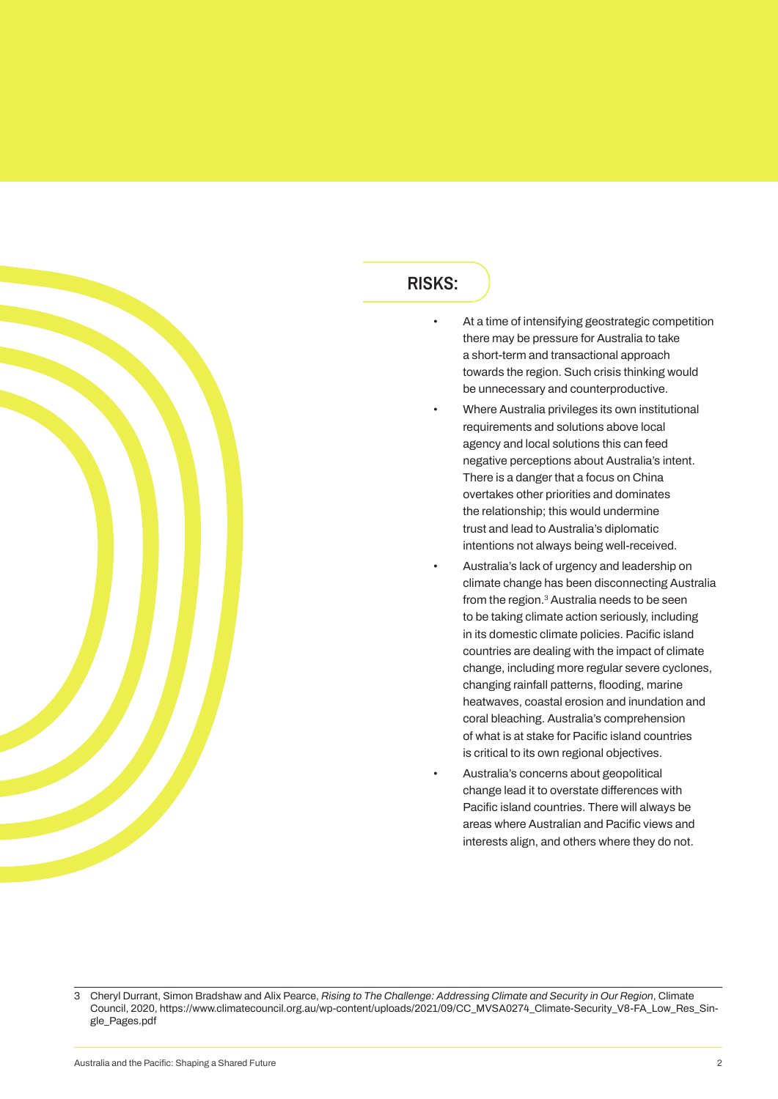

### **RISKS:**

- **• At a time of intensifying geostrategic competition there may be pressure for Australia to take a short-term and transactional approach towards the region. Such crisis thinking would be unnecessary and counterproductive.**
	- **• Where Australia privileges its own institutional requirements and solutions above local agency and local solutions this can feed negative perceptions about Australia's intent. There is a danger that a focus on China overtakes other priorities and dominates the relationship; this would undermine trust and lead to Australia's diplomatic intentions not always being well-received.**
- **• Australia's lack of urgency and leadership on climate change has been disconnecting Australia from the region.3 Australia needs to be seen to be taking climate action seriously, including in its domestic climate policies. Pacific island countries are dealing with the impact of climate change, including more regular severe cyclones, changing rainfall patterns, flooding, marine heatwaves, coastal erosion and inundation and coral bleaching. Australia's comprehension of what is at stake for Pacific island countries is critical to its own regional objectives.**
- **• Australia's concerns about geopolitical change lead it to overstate differences with Pacific island countries. There will always be areas where Australian and Pacific views and interests align, and others where they do not.**

**<sup>3</sup> Cheryl Durrant, Simon Bradshaw and Alix Pearce,** *Rising to The Challenge: Addressing Climate and Security in Our Region***, Climate Council, 2020, https://www.climatecouncil.org.au/wp-content/uploads/2021/09/CC\_MVSA0274\_Climate-Security\_V8-FA\_Low\_Res\_Single\_Pages.pdf**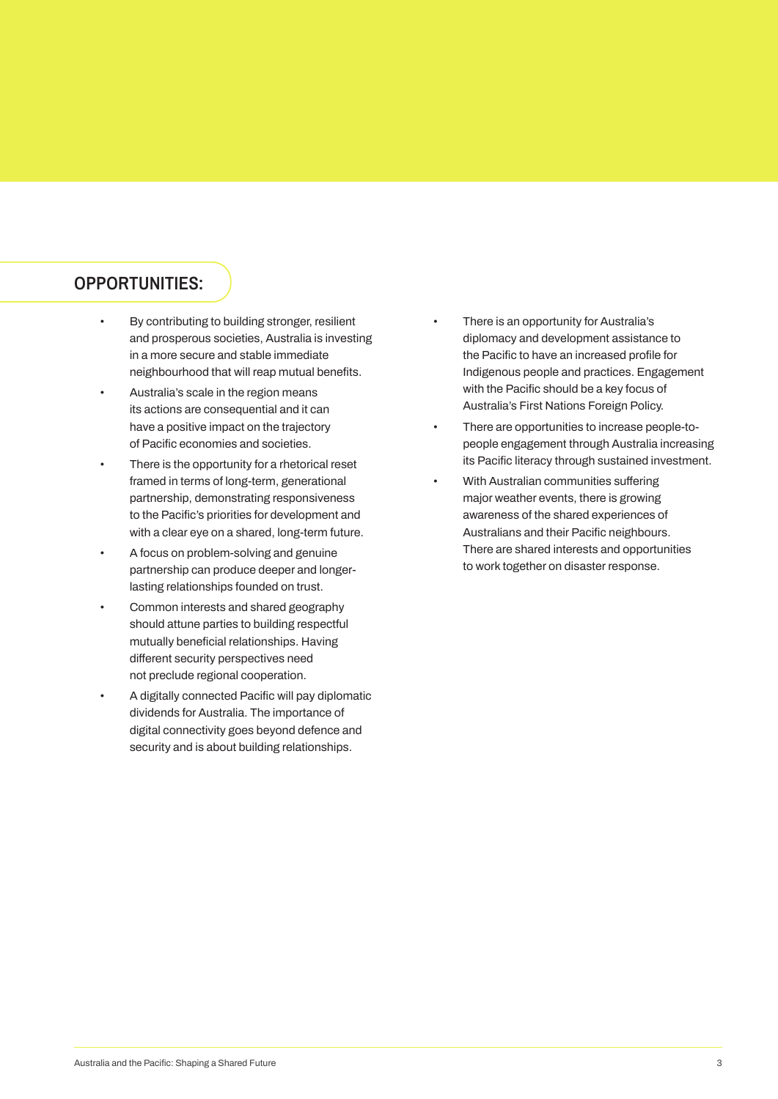### **OPPORTUNITIES:**

- **• By contributing to building stronger, resilient and prosperous societies, Australia is investing in a more secure and stable immediate neighbourhood that will reap mutual benefits.**
- **• Australia's scale in the region means its actions are consequential and it can have a positive impact on the trajectory of Pacific economies and societies.**
- **• There is the opportunity for a rhetorical reset framed in terms of long-term, generational partnership, demonstrating responsiveness to the Pacific's priorities for development and with a clear eye on a shared, long-term future.**
- **• A focus on problem-solving and genuine partnership can produce deeper and longerlasting relationships founded on trust.**
- **• Common interests and shared geography should attune parties to building respectful mutually beneficial relationships. Having different security perspectives need not preclude regional cooperation.**
- **• A digitally connected Pacific will pay diplomatic dividends for Australia. The importance of digital connectivity goes beyond defence and security and is about building relationships.**
- **• There is an opportunity for Australia's diplomacy and development assistance to the Pacific to have an increased profile for Indigenous people and practices. Engagement with the Pacific should be a key focus of Australia's First Nations Foreign Policy.**
- **• There are opportunities to increase people-topeople engagement through Australia increasing its Pacific literacy through sustained investment.**
- **• With Australian communities suffering major weather events, there is growing awareness of the shared experiences of Australians and their Pacific neighbours. There are shared interests and opportunities to work together on disaster response.**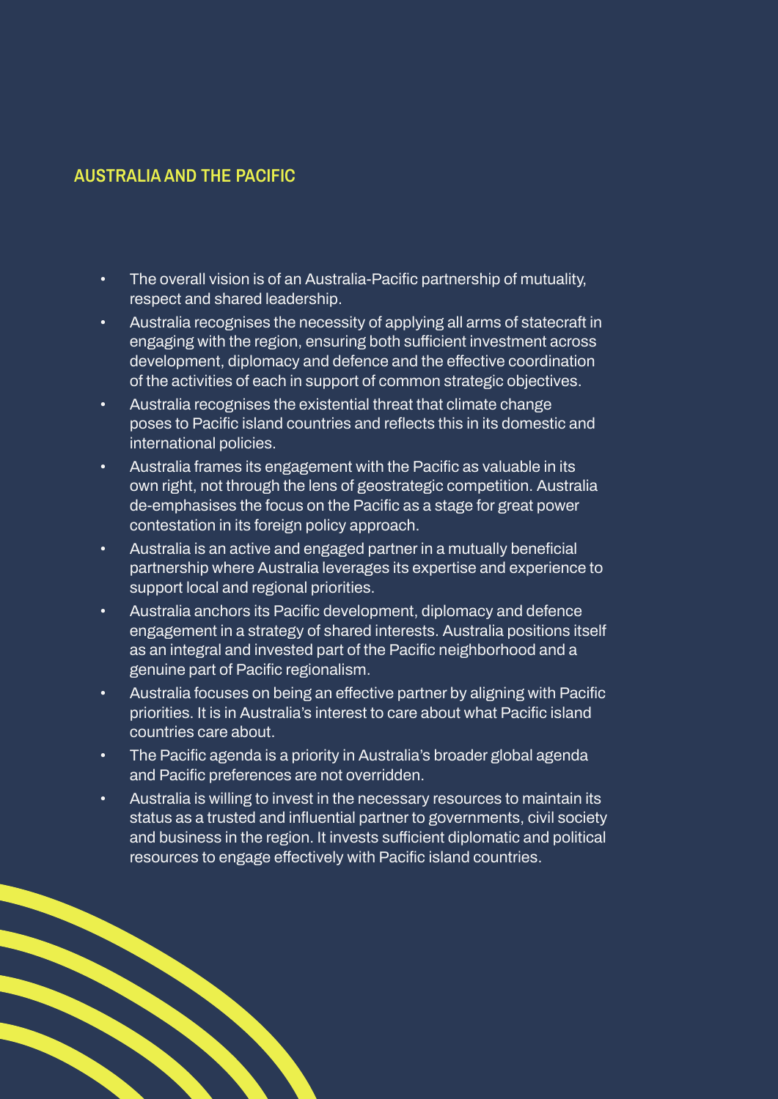## **AUSTRALIA AND THE PACIFIC**

- **• The overall vision is of an Australia-Pacific partnership of mutuality, respect and shared leadership.**
- **• Australia recognises the necessity of applying all arms of statecraft in engaging with the region, ensuring both sufficient investment across development, diplomacy and defence and the effective coordination of the activities of each in support of common strategic objectives.**
- **• Australia recognises the existential threat that climate change poses to Pacific island countries and reflects this in its domestic and international policies.**
- **• Australia frames its engagement with the Pacific as valuable in its own right, not through the lens of geostrategic competition. Australia de-emphasises the focus on the Pacific as a stage for great power contestation in its foreign policy approach.**
- **• Australia is an active and engaged partner in a mutually beneficial partnership where Australia leverages its expertise and experience to support local and regional priorities.**
- **• Australia anchors its Pacific development, diplomacy and defence engagement in a strategy of shared interests. Australia positions itself as an integral and invested part of the Pacific neighborhood and a genuine part of Pacific regionalism.**
- **• Australia focuses on being an effective partner by aligning with Pacific priorities. It is in Australia's interest to care about what Pacific island countries care about.**
- **• The Pacific agenda is a priority in Australia's broader global agenda and Pacific preferences are not overridden.**
- **• Australia is willing to invest in the necessary resources to maintain its status as a trusted and influential partner to governments, civil society and business in the region. It invests sufficient diplomatic and political resources to engage effectively with Pacific island countries.**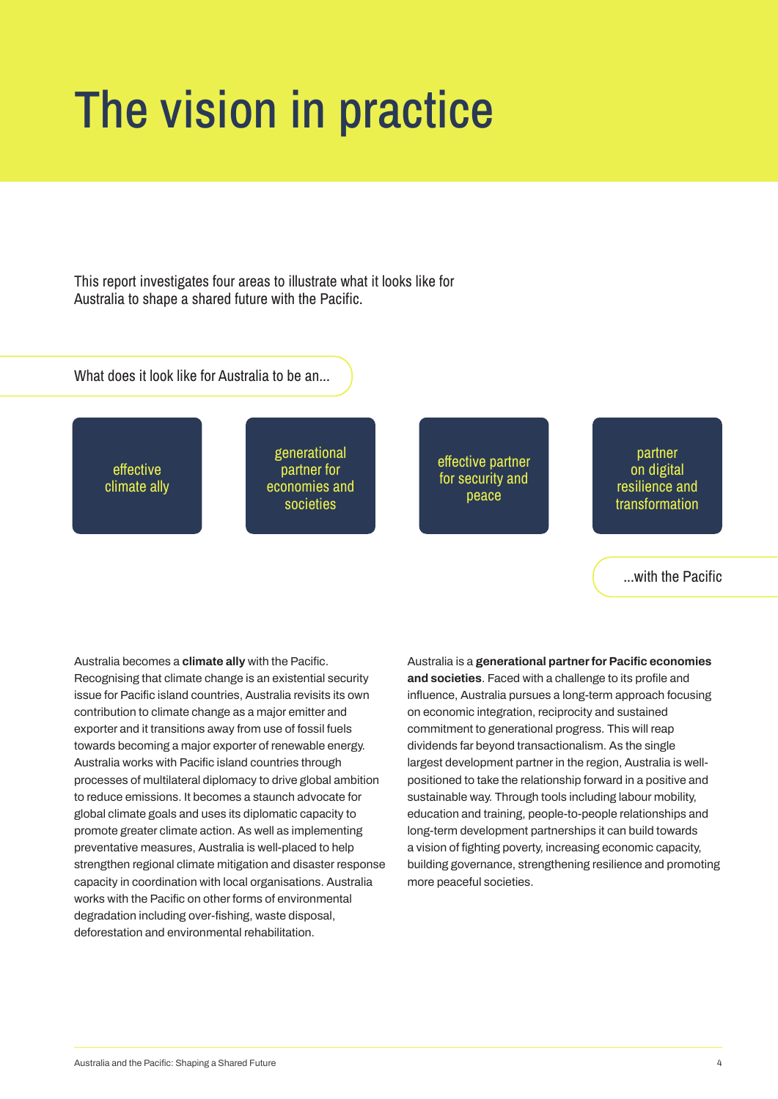## The vision in practice

This report investigates four areas to illustrate what it looks like for Australia to shape a shared future with the Pacific.

What does it look like for Australia to be an...

effective climate ally

generational partner for economies and societies

effective partner for security and peace

partner on digital resilience and transformation

...with the Pacific

**Australia becomes a climate ally with the Pacific. Recognising that climate change is an existential security issue for Pacific island countries, Australia revisits its own contribution to climate change as a major emitter and exporter and it transitions away from use of fossil fuels towards becoming a major exporter of renewable energy. Australia works with Pacific island countries through processes of multilateral diplomacy to drive global ambition to reduce emissions. It becomes a staunch advocate for global climate goals and uses its diplomatic capacity to promote greater climate action. As well as implementing preventative measures, Australia is well-placed to help strengthen regional climate mitigation and disaster response capacity in coordination with local organisations. Australia works with the Pacific on other forms of environmental degradation including over-fishing, waste disposal, deforestation and environmental rehabilitation.**

**Australia is a generational partner for Pacific economies and societies. Faced with a challenge to its profile and influence, Australia pursues a long-term approach focusing on economic integration, reciprocity and sustained commitment to generational progress. This will reap dividends far beyond transactionalism. As the single largest development partner in the region, Australia is wellpositioned to take the relationship forward in a positive and sustainable way. Through tools including labour mobility, education and training, people-to-people relationships and long-term development partnerships it can build towards a vision of fighting poverty, increasing economic capacity, building governance, strengthening resilience and promoting more peaceful societies.**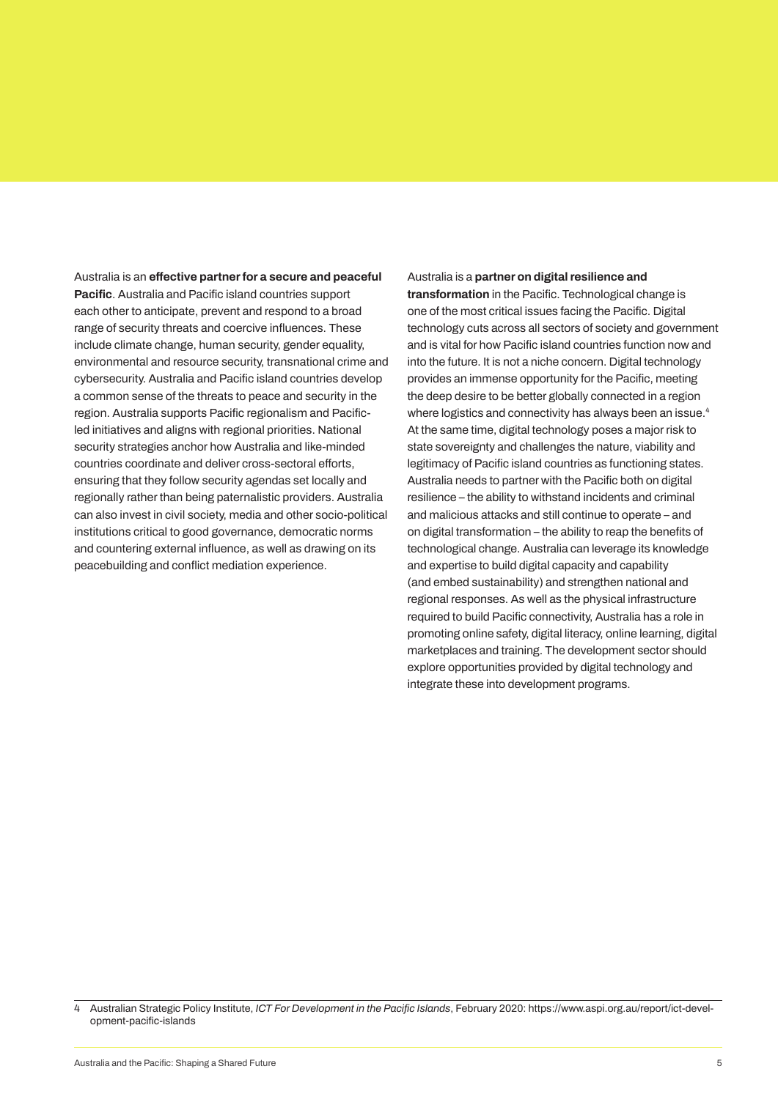**Australia is an effective partner for a secure and peaceful Pacific. Australia and Pacific island countries support each other to anticipate, prevent and respond to a broad range of security threats and coercive influences. These include climate change, human security, gender equality, environmental and resource security, transnational crime and cybersecurity. Australia and Pacific island countries develop a common sense of the threats to peace and security in the region. Australia supports Pacific regionalism and Pacificled initiatives and aligns with regional priorities. National security strategies anchor how Australia and like-minded countries coordinate and deliver cross-sectoral efforts, ensuring that they follow security agendas set locally and regionally rather than being paternalistic providers. Australia can also invest in civil society, media and other socio-political institutions critical to good governance, democratic norms and countering external influence, as well as drawing on its peacebuilding and conflict mediation experience.**

#### **Australia is a partner on digital resilience and**

**transformation in the Pacific. Technological change is one of the most critical issues facing the Pacific. Digital technology cuts across all sectors of society and government and is vital for how Pacific island countries function now and into the future. It is not a niche concern. Digital technology provides an immense opportunity for the Pacific, meeting the deep desire to be better globally connected in a region where logistics and connectivity has always been an issue.4 At the same time, digital technology poses a major risk to state sovereignty and challenges the nature, viability and legitimacy of Pacific island countries as functioning states. Australia needs to partner with the Pacific both on digital resilience – the ability to withstand incidents and criminal and malicious attacks and still continue to operate – and on digital transformation – the ability to reap the benefits of technological change. Australia can leverage its knowledge and expertise to build digital capacity and capability (and embed sustainability) and strengthen national and regional responses. As well as the physical infrastructure required to build Pacific connectivity, Australia has a role in promoting online safety, digital literacy, online learning, digital marketplaces and training. The development sector should explore opportunities provided by digital technology and integrate these into development programs.**

**<sup>4</sup> Australian Strategic Policy Institute,** *ICT For Development in the Pacific Islands***, February 2020: https://www.aspi.org.au/report/ict-development-pacific-islands**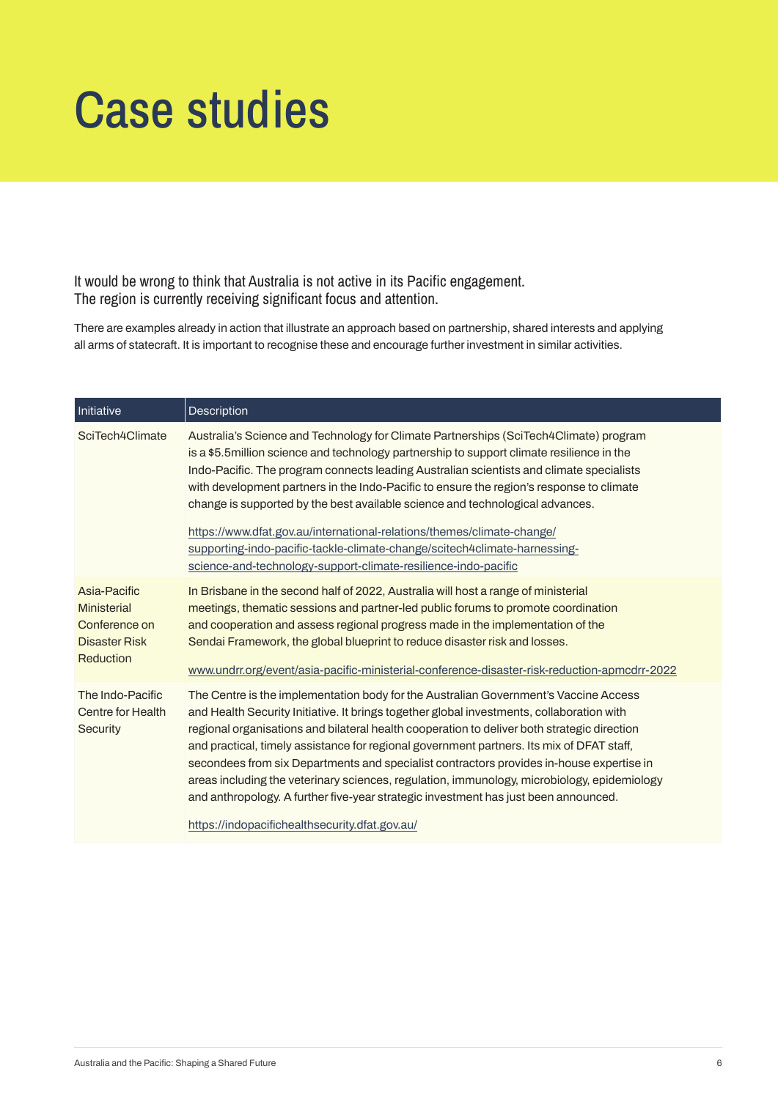## Case studies

It would be wrong to think that Australia is not active in its Pacific engagement. The region is currently receiving significant focus and attention.

**There are examples already in action that illustrate an approach based on partnership, shared interests and applying all arms of statecraft. It is important to recognise these and encourage further investment in similar activities.**

| Initiative                                                                               | Description                                                                                                                                                                                                                                                                                                                                                                                                                                                                                                                                                                                                                                                                                                       |
|------------------------------------------------------------------------------------------|-------------------------------------------------------------------------------------------------------------------------------------------------------------------------------------------------------------------------------------------------------------------------------------------------------------------------------------------------------------------------------------------------------------------------------------------------------------------------------------------------------------------------------------------------------------------------------------------------------------------------------------------------------------------------------------------------------------------|
| SciTech4Climate                                                                          | Australia's Science and Technology for Climate Partnerships (SciTech4Climate) program<br>is a \$5.5 million science and technology partnership to support climate resilience in the<br>Indo-Pacific. The program connects leading Australian scientists and climate specialists<br>with development partners in the Indo-Pacific to ensure the region's response to climate<br>change is supported by the best available science and technological advances.<br>https://www.dfat.gov.au/international-relations/themes/climate-change/<br>supporting-indo-pacific-tackle-climate-change/scitech4climate-harnessing-<br>science-and-technology-support-climate-resilience-indo-pacific                             |
| Asia-Pacific<br><b>Ministerial</b><br>Conference on<br><b>Disaster Risk</b><br>Reduction | In Brisbane in the second half of 2022, Australia will host a range of ministerial<br>meetings, thematic sessions and partner-led public forums to promote coordination<br>and cooperation and assess regional progress made in the implementation of the<br>Sendai Framework, the global blueprint to reduce disaster risk and losses.<br>www.undrr.org/event/asia-pacific-ministerial-conference-disaster-risk-reduction-apmcdrr-2022                                                                                                                                                                                                                                                                           |
| The Indo-Pacific<br>Centre for Health<br>Security                                        | The Centre is the implementation body for the Australian Government's Vaccine Access<br>and Health Security Initiative. It brings together global investments, collaboration with<br>regional organisations and bilateral health cooperation to deliver both strategic direction<br>and practical, timely assistance for regional government partners. Its mix of DFAT staff,<br>secondees from six Departments and specialist contractors provides in-house expertise in<br>areas including the veterinary sciences, regulation, immunology, microbiology, epidemiology<br>and anthropology. A further five-year strategic investment has just been announced.<br>https://indopacifichealthsecurity.dfat.gov.au/ |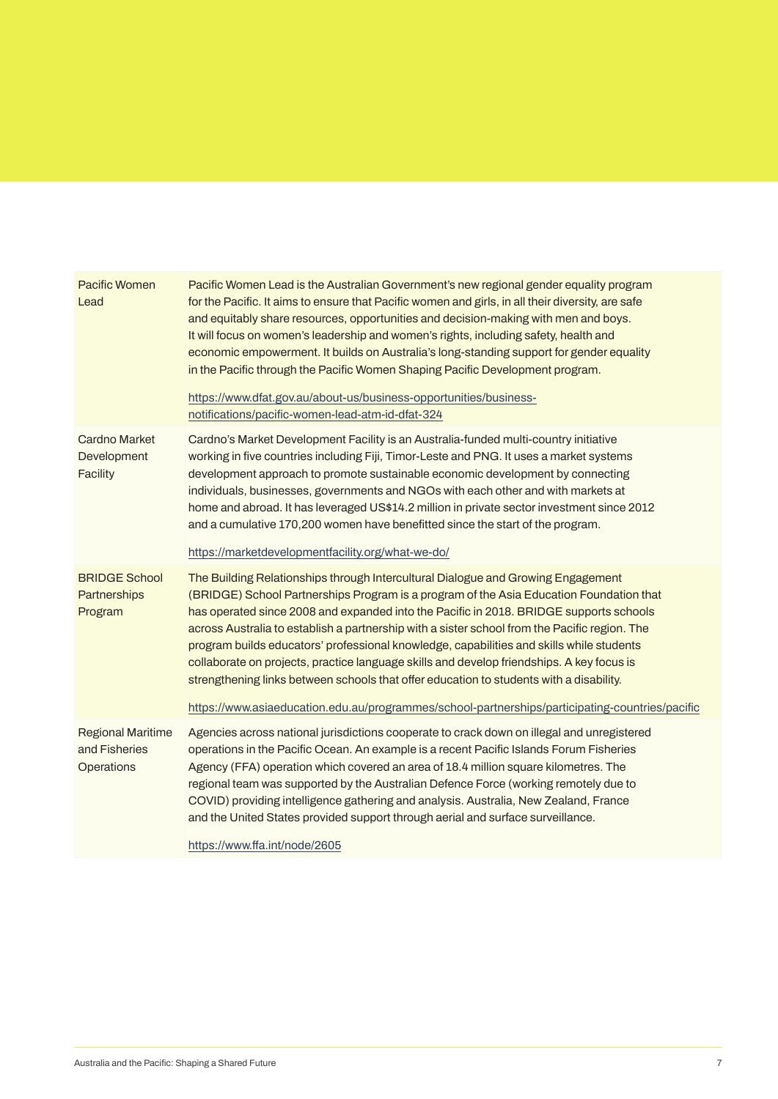| <b>Pacific Women</b><br>Lead                            | Pacific Women Lead is the Australian Government's new regional gender equality program<br>for the Pacific. It aims to ensure that Pacific women and girls, in all their diversity, are safe<br>and equitably share resources, opportunities and decision-making with men and boys.<br>It will focus on women's leadership and women's rights, including safety, health and<br>economic empowerment. It builds on Australia's long-standing support for gender equality<br>in the Pacific through the Pacific Women Shaping Pacific Development program.<br>https://www.dfat.gov.au/about-us/business-opportunities/business-<br>notifications/pacific-women-lead-atm-id-dfat-324                                                                              |
|---------------------------------------------------------|---------------------------------------------------------------------------------------------------------------------------------------------------------------------------------------------------------------------------------------------------------------------------------------------------------------------------------------------------------------------------------------------------------------------------------------------------------------------------------------------------------------------------------------------------------------------------------------------------------------------------------------------------------------------------------------------------------------------------------------------------------------|
| <b>Cardno Market</b><br>Development<br>Facility         | Cardno's Market Development Facility is an Australia-funded multi-country initiative<br>working in five countries including Fiji, Timor-Leste and PNG. It uses a market systems<br>development approach to promote sustainable economic development by connecting<br>individuals, businesses, governments and NGOs with each other and with markets at<br>home and abroad. It has leveraged US\$14.2 million in private sector investment since 2012<br>and a cumulative 170,200 women have benefitted since the start of the program.<br>https://marketdevelopmentfacility.org/what-we-do/                                                                                                                                                                   |
| <b>BRIDGE School</b><br>Partnerships<br>Program         | The Building Relationships through Intercultural Dialogue and Growing Engagement<br>(BRIDGE) School Partnerships Program is a program of the Asia Education Foundation that<br>has operated since 2008 and expanded into the Pacific in 2018. BRIDGE supports schools<br>across Australia to establish a partnership with a sister school from the Pacific region. The<br>program builds educators' professional knowledge, capabilities and skills while students<br>collaborate on projects, practice language skills and develop friendships. A key focus is<br>strengthening links between schools that offer education to students with a disability.<br>https://www.asiaeducation.edu.au/programmes/school-partnerships/participating-countries/pacific |
| <b>Regional Maritime</b><br>and Fisheries<br>Operations | Agencies across national jurisdictions cooperate to crack down on illegal and unregistered<br>operations in the Pacific Ocean. An example is a recent Pacific Islands Forum Fisheries<br>Agency (FFA) operation which covered an area of 18.4 million square kilometres. The<br>regional team was supported by the Australian Defence Force (working remotely due to<br>COVID) providing intelligence gathering and analysis. Australia, New Zealand, France<br>and the United States provided support through aerial and surface surveillance.<br>https://www.ffa.int/node/2605                                                                                                                                                                              |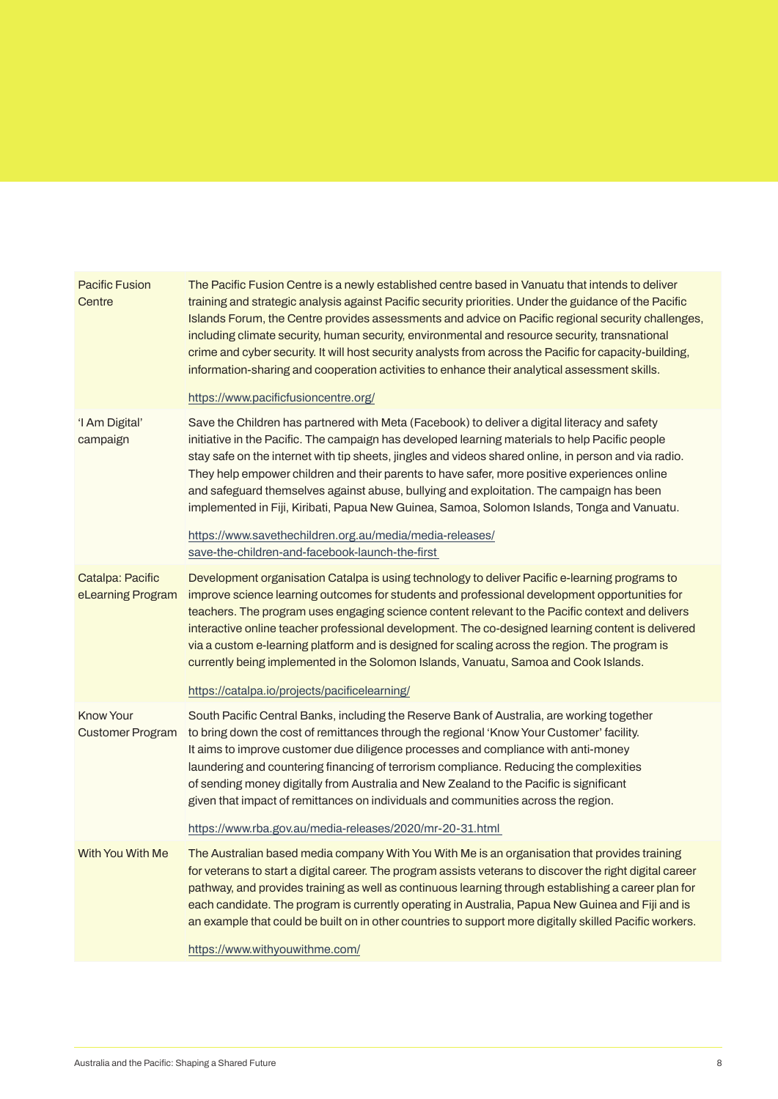| <b>Pacific Fusion</b><br>Centre       | The Pacific Fusion Centre is a newly established centre based in Vanuatu that intends to deliver<br>training and strategic analysis against Pacific security priorities. Under the guidance of the Pacific<br>Islands Forum, the Centre provides assessments and advice on Pacific regional security challenges,<br>including climate security, human security, environmental and resource security, transnational<br>crime and cyber security. It will host security analysts from across the Pacific for capacity-building,<br>information-sharing and cooperation activities to enhance their analytical assessment skills.                       |
|---------------------------------------|------------------------------------------------------------------------------------------------------------------------------------------------------------------------------------------------------------------------------------------------------------------------------------------------------------------------------------------------------------------------------------------------------------------------------------------------------------------------------------------------------------------------------------------------------------------------------------------------------------------------------------------------------|
|                                       | https://www.pacificfusioncentre.org/                                                                                                                                                                                                                                                                                                                                                                                                                                                                                                                                                                                                                 |
| 'I Am Digital'<br>campaign            | Save the Children has partnered with Meta (Facebook) to deliver a digital literacy and safety<br>initiative in the Pacific. The campaign has developed learning materials to help Pacific people<br>stay safe on the internet with tip sheets, jingles and videos shared online, in person and via radio.<br>They help empower children and their parents to have safer, more positive experiences online<br>and safeguard themselves against abuse, bullying and exploitation. The campaign has been<br>implemented in Fiji, Kiribati, Papua New Guinea, Samoa, Solomon Islands, Tonga and Vanuatu.                                                 |
|                                       | https://www.savethechildren.org.au/media/media-releases/<br>save-the-children-and-facebook-launch-the-first                                                                                                                                                                                                                                                                                                                                                                                                                                                                                                                                          |
| Catalpa: Pacific<br>eLearning Program | Development organisation Catalpa is using technology to deliver Pacific e-learning programs to<br>improve science learning outcomes for students and professional development opportunities for<br>teachers. The program uses engaging science content relevant to the Pacific context and delivers<br>interactive online teacher professional development. The co-designed learning content is delivered<br>via a custom e-learning platform and is designed for scaling across the region. The program is<br>currently being implemented in the Solomon Islands, Vanuatu, Samoa and Cook Islands.<br>https://catalpa.io/projects/pacificelearning/ |
| Know Your<br><b>Customer Program</b>  | South Pacific Central Banks, including the Reserve Bank of Australia, are working together<br>to bring down the cost of remittances through the regional 'Know Your Customer' facility.<br>It aims to improve customer due diligence processes and compliance with anti-money<br>laundering and countering financing of terrorism compliance. Reducing the complexities<br>of sending money digitally from Australia and New Zealand to the Pacific is significant<br>given that impact of remittances on individuals and communities across the region.                                                                                             |
|                                       | https://www.rba.gov.au/media-releases/2020/mr-20-31.html                                                                                                                                                                                                                                                                                                                                                                                                                                                                                                                                                                                             |
| With You With Me                      | The Australian based media company With You With Me is an organisation that provides training<br>for veterans to start a digital career. The program assists veterans to discover the right digital career<br>pathway, and provides training as well as continuous learning through establishing a career plan for<br>each candidate. The program is currently operating in Australia, Papua New Guinea and Fiji and is<br>an example that could be built on in other countries to support more digitally skilled Pacific workers.                                                                                                                   |
|                                       | https://www.withyouwithme.com/                                                                                                                                                                                                                                                                                                                                                                                                                                                                                                                                                                                                                       |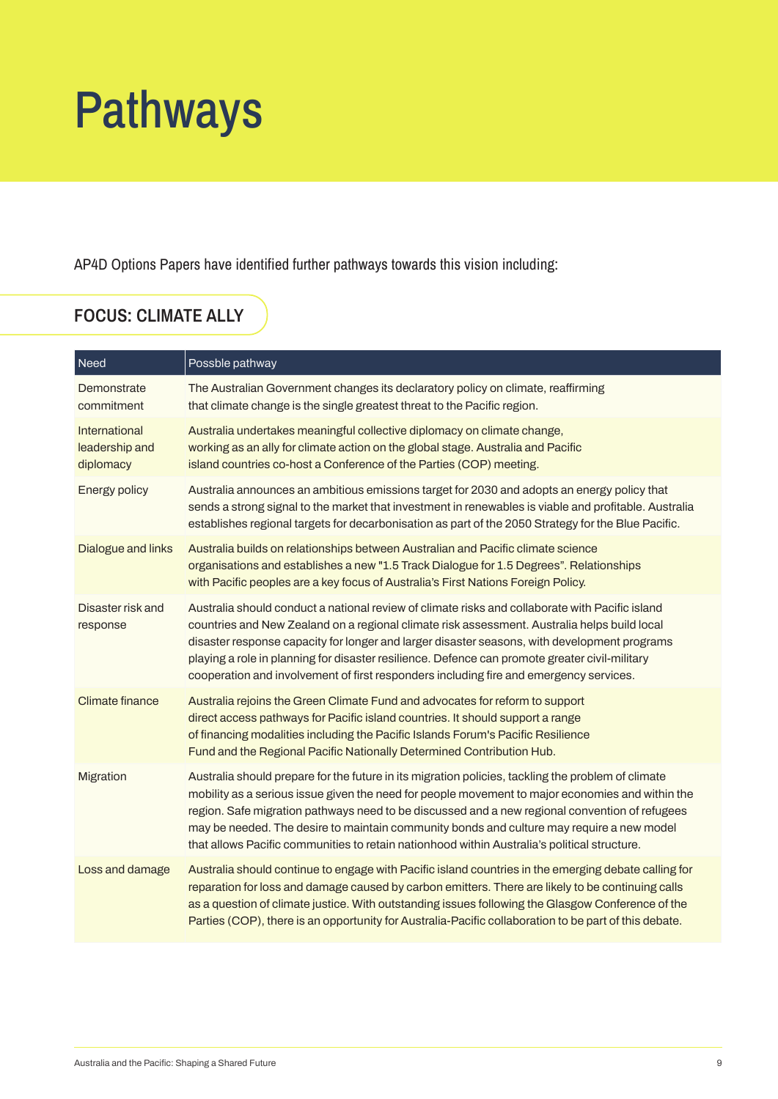## Pathways

AP4D Options Papers have identified further pathways towards this vision including:

## **FOCUS: CLIMATE ALLY**

| Need                                         | Possble pathway                                                                                                                                                                                                                                                                                                                                                                                                                                                                                       |
|----------------------------------------------|-------------------------------------------------------------------------------------------------------------------------------------------------------------------------------------------------------------------------------------------------------------------------------------------------------------------------------------------------------------------------------------------------------------------------------------------------------------------------------------------------------|
| Demonstrate<br>commitment                    | The Australian Government changes its declaratory policy on climate, reaffirming<br>that climate change is the single greatest threat to the Pacific region.                                                                                                                                                                                                                                                                                                                                          |
| International<br>leadership and<br>diplomacy | Australia undertakes meaningful collective diplomacy on climate change,<br>working as an ally for climate action on the global stage. Australia and Pacific<br>island countries co-host a Conference of the Parties (COP) meeting.                                                                                                                                                                                                                                                                    |
| Energy policy                                | Australia announces an ambitious emissions target for 2030 and adopts an energy policy that<br>sends a strong signal to the market that investment in renewables is viable and profitable. Australia<br>establishes regional targets for decarbonisation as part of the 2050 Strategy for the Blue Pacific.                                                                                                                                                                                           |
| Dialogue and links                           | Australia builds on relationships between Australian and Pacific climate science<br>organisations and establishes a new "1.5 Track Dialogue for 1.5 Degrees". Relationships<br>with Pacific peoples are a key focus of Australia's First Nations Foreign Policy.                                                                                                                                                                                                                                      |
| Disaster risk and<br>response                | Australia should conduct a national review of climate risks and collaborate with Pacific island<br>countries and New Zealand on a regional climate risk assessment. Australia helps build local<br>disaster response capacity for longer and larger disaster seasons, with development programs<br>playing a role in planning for disaster resilience. Defence can promote greater civil-military<br>cooperation and involvement of first responders including fire and emergency services.           |
| <b>Climate finance</b>                       | Australia rejoins the Green Climate Fund and advocates for reform to support<br>direct access pathways for Pacific island countries. It should support a range<br>of financing modalities including the Pacific Islands Forum's Pacific Resilience<br>Fund and the Regional Pacific Nationally Determined Contribution Hub.                                                                                                                                                                           |
| Migration                                    | Australia should prepare for the future in its migration policies, tackling the problem of climate<br>mobility as a serious issue given the need for people movement to major economies and within the<br>region. Safe migration pathways need to be discussed and a new regional convention of refugees<br>may be needed. The desire to maintain community bonds and culture may require a new model<br>that allows Pacific communities to retain nationhood within Australia's political structure. |
| Loss and damage                              | Australia should continue to engage with Pacific island countries in the emerging debate calling for<br>reparation for loss and damage caused by carbon emitters. There are likely to be continuing calls<br>as a question of climate justice. With outstanding issues following the Glasgow Conference of the<br>Parties (COP), there is an opportunity for Australia-Pacific collaboration to be part of this debate.                                                                               |

ı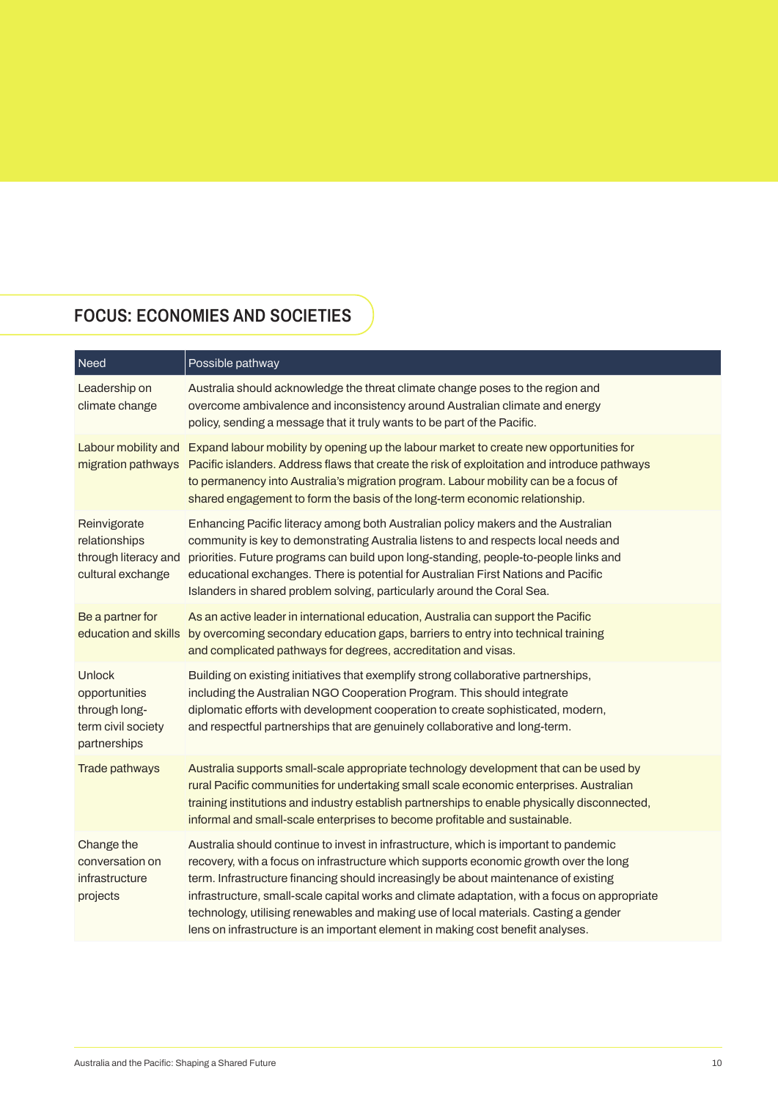## **FOCUS: ECONOMIES AND SOCIETIES**

| Need                                                                           | Possible pathway                                                                                                                                                                                                                                                                                                                                                                                                                                                                                                                                  |
|--------------------------------------------------------------------------------|---------------------------------------------------------------------------------------------------------------------------------------------------------------------------------------------------------------------------------------------------------------------------------------------------------------------------------------------------------------------------------------------------------------------------------------------------------------------------------------------------------------------------------------------------|
| Leadership on<br>climate change                                                | Australia should acknowledge the threat climate change poses to the region and<br>overcome ambivalence and inconsistency around Australian climate and energy<br>policy, sending a message that it truly wants to be part of the Pacific.                                                                                                                                                                                                                                                                                                         |
| Labour mobility and<br>migration pathways                                      | Expand labour mobility by opening up the labour market to create new opportunities for<br>Pacific islanders. Address flaws that create the risk of exploitation and introduce pathways<br>to permanency into Australia's migration program. Labour mobility can be a focus of<br>shared engagement to form the basis of the long-term economic relationship.                                                                                                                                                                                      |
| Reinvigorate<br>relationships<br>through literacy and<br>cultural exchange     | Enhancing Pacific literacy among both Australian policy makers and the Australian<br>community is key to demonstrating Australia listens to and respects local needs and<br>priorities. Future programs can build upon long-standing, people-to-people links and<br>educational exchanges. There is potential for Australian First Nations and Pacific<br>Islanders in shared problem solving, particularly around the Coral Sea.                                                                                                                 |
| Be a partner for<br>education and skills                                       | As an active leader in international education, Australia can support the Pacific<br>by overcoming secondary education gaps, barriers to entry into technical training<br>and complicated pathways for degrees, accreditation and visas.                                                                                                                                                                                                                                                                                                          |
| Unlock<br>opportunities<br>through long-<br>term civil society<br>partnerships | Building on existing initiatives that exemplify strong collaborative partnerships,<br>including the Australian NGO Cooperation Program. This should integrate<br>diplomatic efforts with development cooperation to create sophisticated, modern,<br>and respectful partnerships that are genuinely collaborative and long-term.                                                                                                                                                                                                                  |
| Trade pathways                                                                 | Australia supports small-scale appropriate technology development that can be used by<br>rural Pacific communities for undertaking small scale economic enterprises. Australian<br>training institutions and industry establish partnerships to enable physically disconnected,<br>informal and small-scale enterprises to become profitable and sustainable.                                                                                                                                                                                     |
| Change the<br>conversation on<br>infrastructure<br>projects                    | Australia should continue to invest in infrastructure, which is important to pandemic<br>recovery, with a focus on infrastructure which supports economic growth over the long<br>term. Infrastructure financing should increasingly be about maintenance of existing<br>infrastructure, small-scale capital works and climate adaptation, with a focus on appropriate<br>technology, utilising renewables and making use of local materials. Casting a gender<br>lens on infrastructure is an important element in making cost benefit analyses. |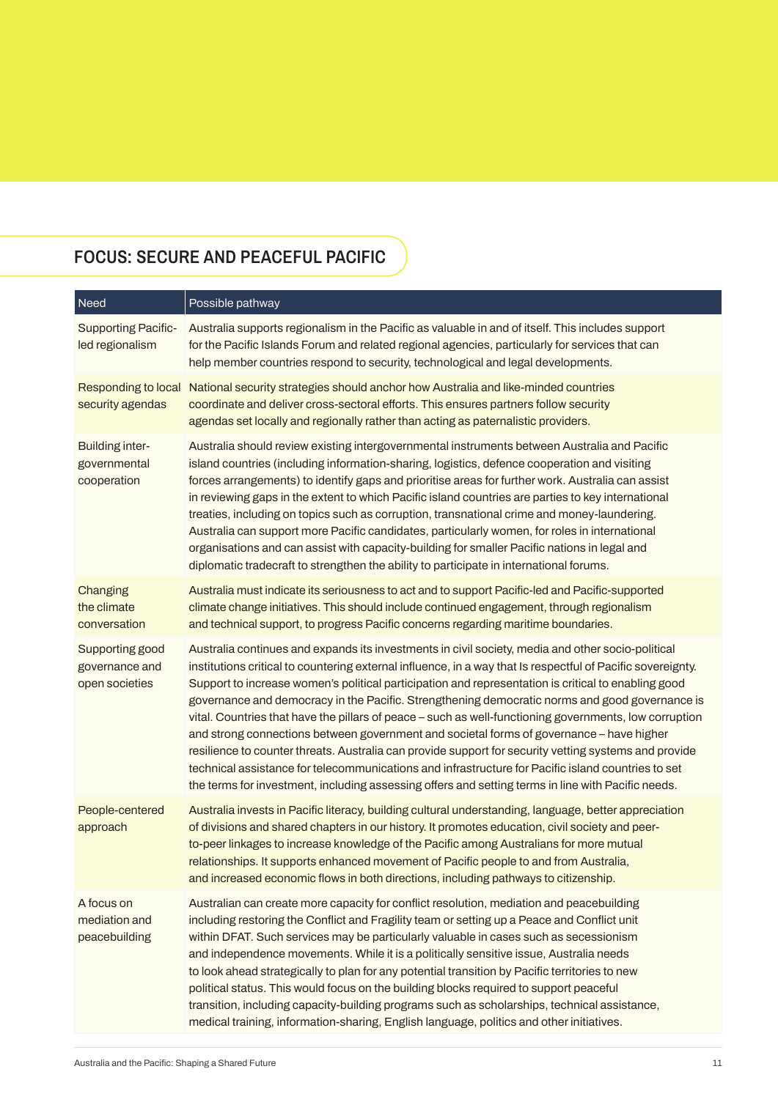## **FOCUS: SECURE AND PEACEFUL PACIFIC**

| Need                                                  | Possible pathway                                                                                                                                                                                                                                                                                                                                                                                                                                                                                                                                                                                                                                                                                                                                                                                                                                                                                                                                     |
|-------------------------------------------------------|------------------------------------------------------------------------------------------------------------------------------------------------------------------------------------------------------------------------------------------------------------------------------------------------------------------------------------------------------------------------------------------------------------------------------------------------------------------------------------------------------------------------------------------------------------------------------------------------------------------------------------------------------------------------------------------------------------------------------------------------------------------------------------------------------------------------------------------------------------------------------------------------------------------------------------------------------|
| <b>Supporting Pacific-</b><br>led regionalism         | Australia supports regionalism in the Pacific as valuable in and of itself. This includes support<br>for the Pacific Islands Forum and related regional agencies, particularly for services that can<br>help member countries respond to security, technological and legal developments.                                                                                                                                                                                                                                                                                                                                                                                                                                                                                                                                                                                                                                                             |
| Responding to local<br>security agendas               | National security strategies should anchor how Australia and like-minded countries<br>coordinate and deliver cross-sectoral efforts. This ensures partners follow security<br>agendas set locally and regionally rather than acting as paternalistic providers.                                                                                                                                                                                                                                                                                                                                                                                                                                                                                                                                                                                                                                                                                      |
| <b>Building inter-</b><br>governmental<br>cooperation | Australia should review existing intergovernmental instruments between Australia and Pacific<br>island countries (including information-sharing, logistics, defence cooperation and visiting<br>forces arrangements) to identify gaps and prioritise areas for further work. Australia can assist<br>in reviewing gaps in the extent to which Pacific island countries are parties to key international<br>treaties, including on topics such as corruption, transnational crime and money-laundering.<br>Australia can support more Pacific candidates, particularly women, for roles in international<br>organisations and can assist with capacity-building for smaller Pacific nations in legal and<br>diplomatic tradecraft to strengthen the ability to participate in international forums.                                                                                                                                                   |
| Changing<br>the climate<br>conversation               | Australia must indicate its seriousness to act and to support Pacific-led and Pacific-supported<br>climate change initiatives. This should include continued engagement, through regionalism<br>and technical support, to progress Pacific concerns regarding maritime boundaries.                                                                                                                                                                                                                                                                                                                                                                                                                                                                                                                                                                                                                                                                   |
| Supporting good<br>governance and<br>open societies   | Australia continues and expands its investments in civil society, media and other socio-political<br>institutions critical to countering external influence, in a way that Is respectful of Pacific sovereignty.<br>Support to increase women's political participation and representation is critical to enabling good<br>governance and democracy in the Pacific. Strengthening democratic norms and good governance is<br>vital. Countries that have the pillars of peace - such as well-functioning governments, low corruption<br>and strong connections between government and societal forms of governance - have higher<br>resilience to counter threats. Australia can provide support for security vetting systems and provide<br>technical assistance for telecommunications and infrastructure for Pacific island countries to set<br>the terms for investment, including assessing offers and setting terms in line with Pacific needs. |
| People-centered<br>approach                           | Australia invests in Pacific literacy, building cultural understanding, language, better appreciation<br>of divisions and shared chapters in our history. It promotes education, civil society and peer-<br>to-peer linkages to increase knowledge of the Pacific among Australians for more mutual<br>relationships. It supports enhanced movement of Pacific people to and from Australia,<br>and increased economic flows in both directions, including pathways to citizenship.                                                                                                                                                                                                                                                                                                                                                                                                                                                                  |
| A focus on<br>mediation and<br>peacebuilding          | Australian can create more capacity for conflict resolution, mediation and peacebuilding<br>including restoring the Conflict and Fragility team or setting up a Peace and Conflict unit<br>within DFAT. Such services may be particularly valuable in cases such as secessionism<br>and independence movements. While it is a politically sensitive issue, Australia needs<br>to look ahead strategically to plan for any potential transition by Pacific territories to new<br>political status. This would focus on the building blocks required to support peaceful<br>transition, including capacity-building programs such as scholarships, technical assistance,<br>medical training, information-sharing, English language, politics and other initiatives.                                                                                                                                                                                   |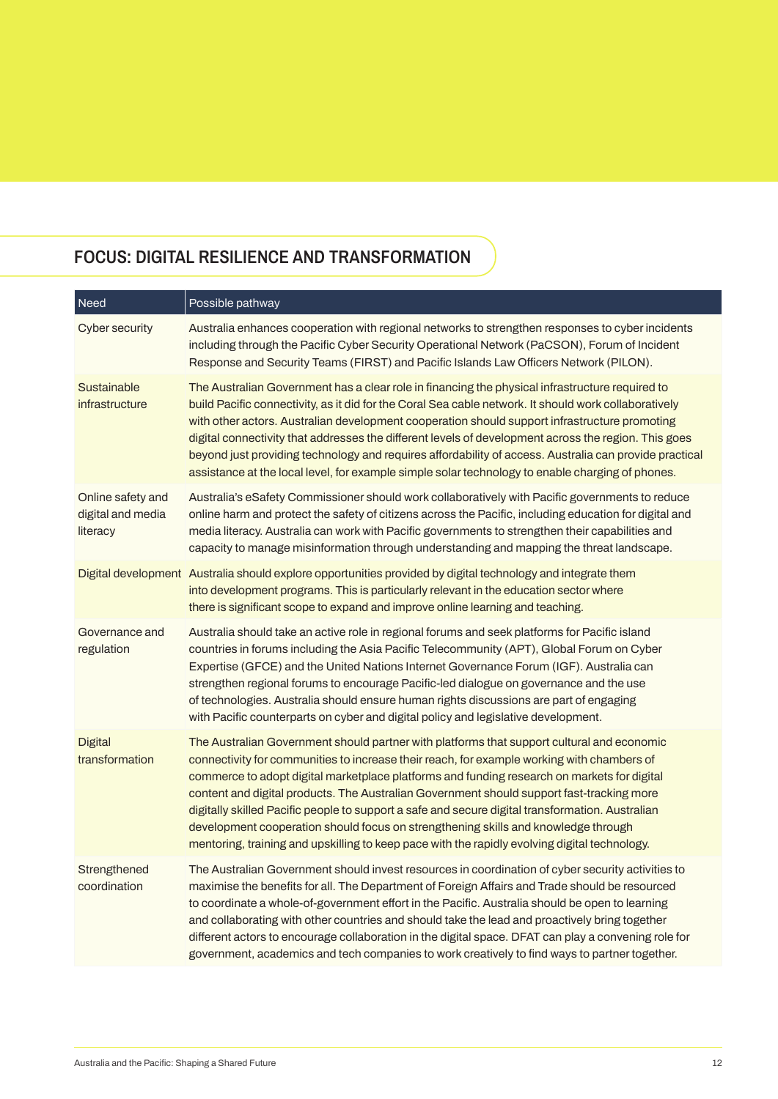## **FOCUS: DIGITAL RESILIENCE AND TRANSFORMATION**

| Need                                               | Possible pathway                                                                                                                                                                                                                                                                                                                                                                                                                                                                                                                                                                                                                                                                |
|----------------------------------------------------|---------------------------------------------------------------------------------------------------------------------------------------------------------------------------------------------------------------------------------------------------------------------------------------------------------------------------------------------------------------------------------------------------------------------------------------------------------------------------------------------------------------------------------------------------------------------------------------------------------------------------------------------------------------------------------|
| <b>Cyber security</b>                              | Australia enhances cooperation with regional networks to strengthen responses to cyber incidents<br>including through the Pacific Cyber Security Operational Network (PaCSON), Forum of Incident<br>Response and Security Teams (FIRST) and Pacific Islands Law Officers Network (PILON).                                                                                                                                                                                                                                                                                                                                                                                       |
| Sustainable<br>infrastructure                      | The Australian Government has a clear role in financing the physical infrastructure required to<br>build Pacific connectivity, as it did for the Coral Sea cable network. It should work collaboratively<br>with other actors. Australian development cooperation should support infrastructure promoting<br>digital connectivity that addresses the different levels of development across the region. This goes<br>beyond just providing technology and requires affordability of access. Australia can provide practical<br>assistance at the local level, for example simple solar technology to enable charging of phones.                                                 |
| Online safety and<br>digital and media<br>literacy | Australia's eSafety Commissioner should work collaboratively with Pacific governments to reduce<br>online harm and protect the safety of citizens across the Pacific, including education for digital and<br>media literacy. Australia can work with Pacific governments to strengthen their capabilities and<br>capacity to manage misinformation through understanding and mapping the threat landscape.                                                                                                                                                                                                                                                                      |
|                                                    | Digital development Australia should explore opportunities provided by digital technology and integrate them<br>into development programs. This is particularly relevant in the education sector where<br>there is significant scope to expand and improve online learning and teaching.                                                                                                                                                                                                                                                                                                                                                                                        |
| Governance and<br>regulation                       | Australia should take an active role in regional forums and seek platforms for Pacific island<br>countries in forums including the Asia Pacific Telecommunity (APT), Global Forum on Cyber<br>Expertise (GFCE) and the United Nations Internet Governance Forum (IGF). Australia can<br>strengthen regional forums to encourage Pacific-led dialogue on governance and the use<br>of technologies. Australia should ensure human rights discussions are part of engaging<br>with Pacific counterparts on cyber and digital policy and legislative development.                                                                                                                  |
| <b>Digital</b><br>transformation                   | The Australian Government should partner with platforms that support cultural and economic<br>connectivity for communities to increase their reach, for example working with chambers of<br>commerce to adopt digital marketplace platforms and funding research on markets for digital<br>content and digital products. The Australian Government should support fast-tracking more<br>digitally skilled Pacific people to support a safe and secure digital transformation. Australian<br>development cooperation should focus on strengthening skills and knowledge through<br>mentoring, training and upskilling to keep pace with the rapidly evolving digital technology. |
| Strengthened<br>coordination                       | The Australian Government should invest resources in coordination of cyber security activities to<br>maximise the benefits for all. The Department of Foreign Affairs and Trade should be resourced<br>to coordinate a whole-of-government effort in the Pacific. Australia should be open to learning<br>and collaborating with other countries and should take the lead and proactively bring together<br>different actors to encourage collaboration in the digital space. DFAT can play a convening role for<br>government, academics and tech companies to work creatively to find ways to partner together.                                                               |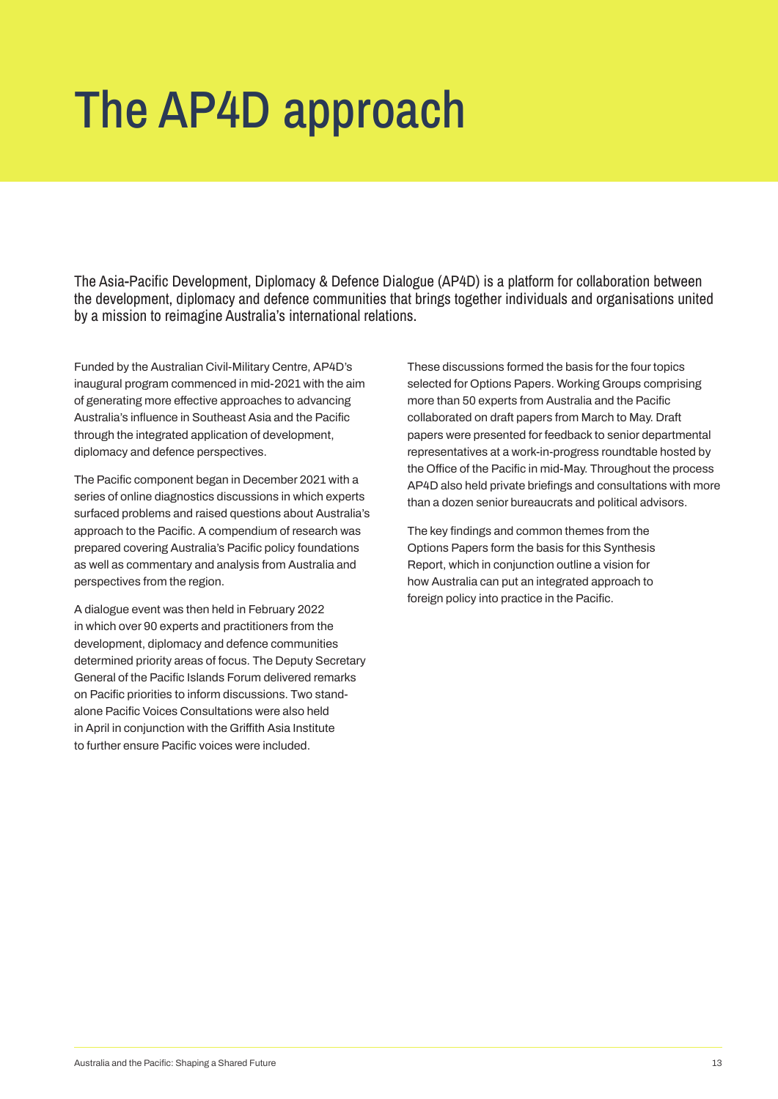## The AP4D approach

The Asia-Pacific Development, Diplomacy & Defence Dialogue (AP4D) is a platform for collaboration between the development, diplomacy and defence communities that brings together individuals and organisations united by a mission to reimagine Australia's international relations.

**Funded by the Australian Civil-Military Centre, AP4D's inaugural program commenced in mid-2021 with the aim of generating more effective approaches to advancing Australia's influence in Southeast Asia and the Pacific through the integrated application of development, diplomacy and defence perspectives.** 

**The Pacific component began in December 2021 with a series of online diagnostics discussions in which experts surfaced problems and raised questions about Australia's approach to the Pacific. A compendium of research was prepared covering Australia's Pacific policy foundations as well as commentary and analysis from Australia and perspectives from the region.**

**A dialogue event was then held in February 2022 in which over 90 experts and practitioners from the development, diplomacy and defence communities determined priority areas of focus. The Deputy Secretary General of the Pacific Islands Forum delivered remarks on Pacific priorities to inform discussions. Two standalone Pacific Voices Consultations were also held in April in conjunction with the Griffith Asia Institute to further ensure Pacific voices were included.**

**These discussions formed the basis for the four topics selected for Options Papers. Working Groups comprising more than 50 experts from Australia and the Pacific collaborated on draft papers from March to May. Draft papers were presented for feedback to senior departmental representatives at a work-in-progress roundtable hosted by the Office of the Pacific in mid-May. Throughout the process AP4D also held private briefings and consultations with more than a dozen senior bureaucrats and political advisors.**

**The key findings and common themes from the Options Papers form the basis for this Synthesis Report, which in conjunction outline a vision for how Australia can put an integrated approach to foreign policy into practice in the Pacific.**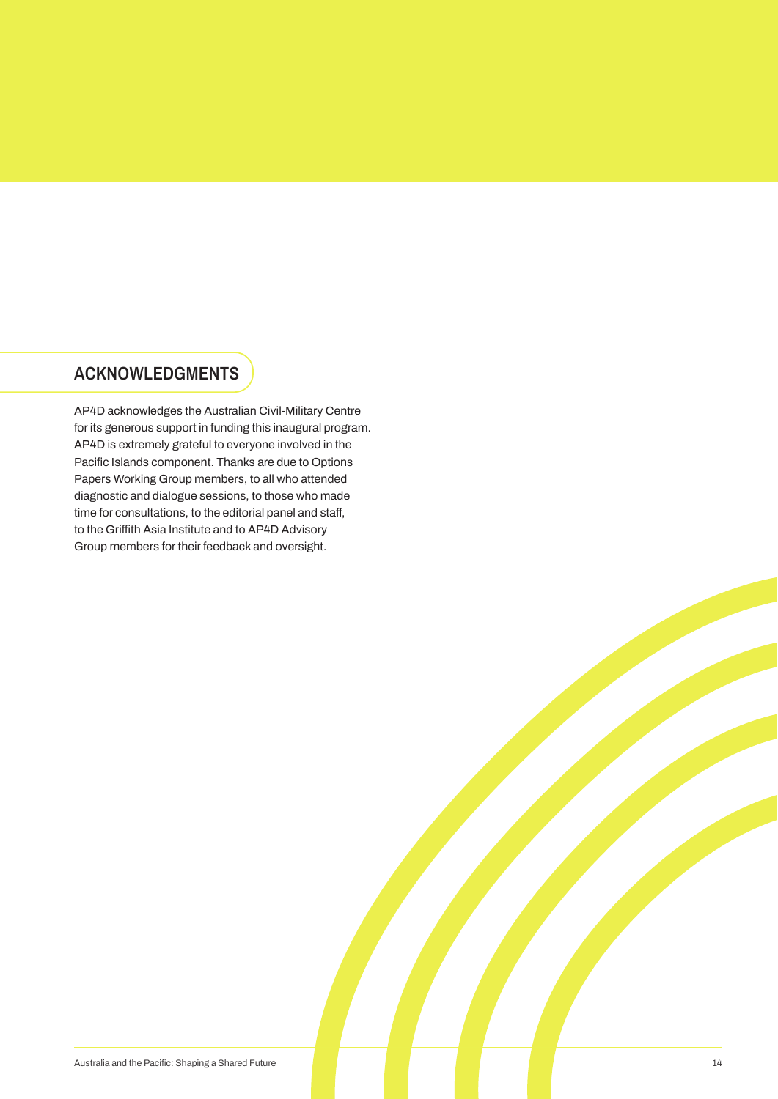### **ACKNOWLEDGMENTS**

**AP4D acknowledges the Australian Civil-Military Centre for its generous support in funding this inaugural program. AP4D is extremely grateful to everyone involved in the Pacific Islands component. Thanks are due to Options Papers Working Group members, to all who attended diagnostic and dialogue sessions, to those who made time for consultations, to the editorial panel and staff, to the Griffith Asia Institute and to AP4D Advisory Group members for their feedback and oversight.**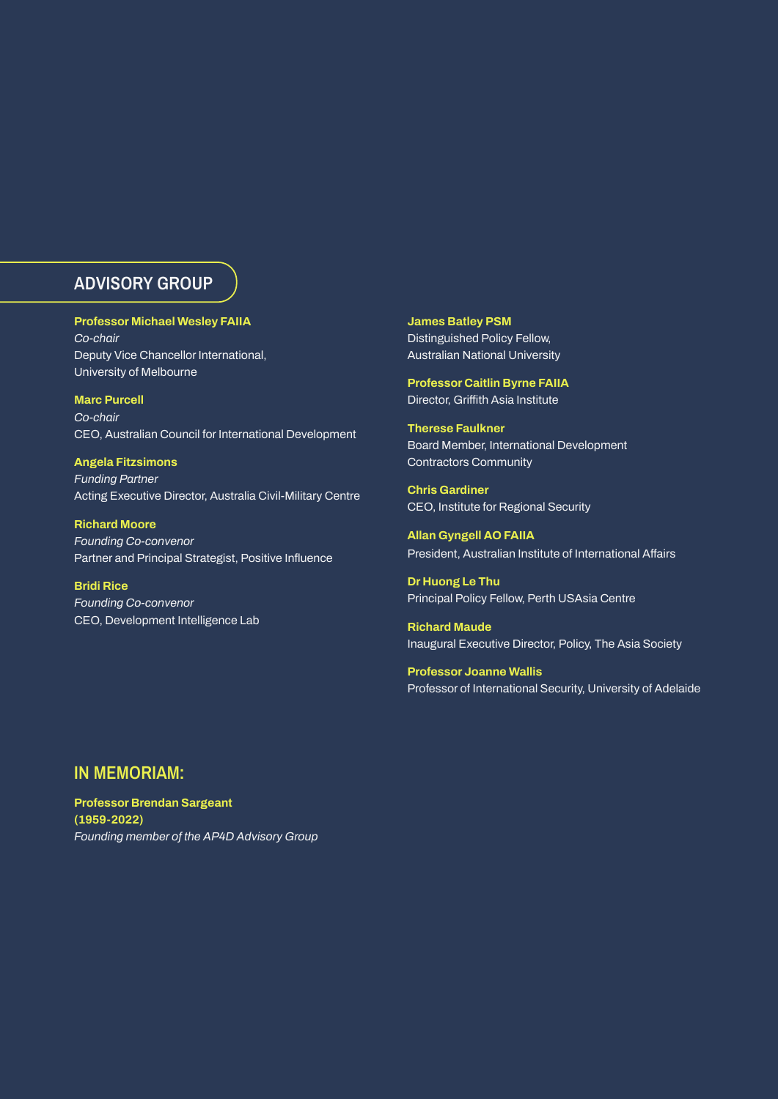### **ADVISORY GROUP**

**Professor Michael Wesley FAIIA** *Co-chair* **Deputy Vice Chancellor International, University of Melbourne** 

**Marc Purcell** *Co-chair* **CEO, Australian Council for International Development** 

**Angela Fitzsimons** *Funding Partner* **Acting Executive Director, Australia Civil-Military Centre**

**Richard Moore** *Founding Co-convenor*  **Partner and Principal Strategist, Positive Influence**

**Bridi Rice** *Founding Co-convenor* **CEO, Development Intelligence Lab** **James Batley PSM Distinguished Policy Fellow, Australian National University**

**Professor Caitlin Byrne FAIIA Director, Griffith Asia Institute** 

**Therese Faulkner Board Member, International Development Contractors Community** 

**Chris Gardiner CEO, Institute for Regional Security**

**Allan Gyngell AO FAIIA President, Australian Institute of International Affairs** 

**Dr Huong Le Thu Principal Policy Fellow, Perth USAsia Centre**

**Richard Maude Inaugural Executive Director, Policy, The Asia Society** 

**Professor Joanne Wallis Professor of International Security, University of Adelaide**

#### **IN MEMORIAM:**

**Professor Brendan Sargeant (1959-2022)** *Founding member of the AP4D Advisory Group*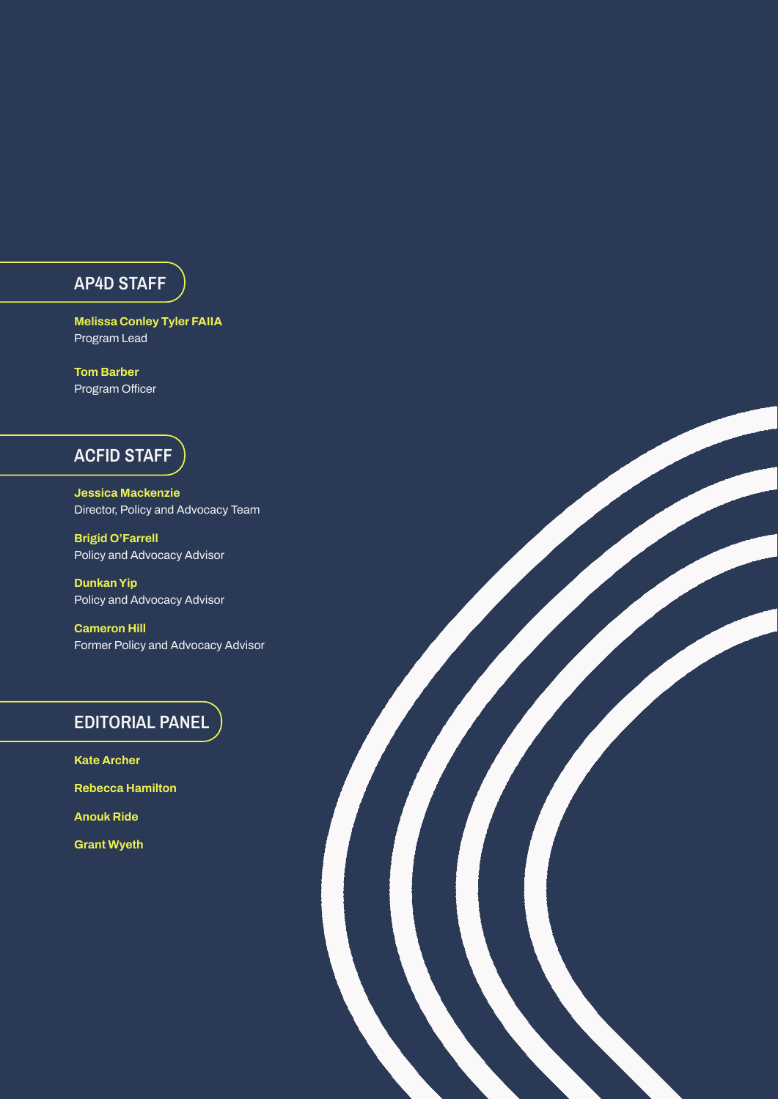#### **AP4D STAFF**

**Melissa Conley Tyler FAIIA Program Lead** 

**Tom Barber Program Officer** 

### **ACFID STAFF**

**Jessica Mackenzie Director, Policy and Advocacy Team**

**Brigid O'Farrell Policy and Advocacy Advisor**

**Dunkan Yip Policy and Advocacy Advisor**

**Cameron Hill Former Policy and Advocacy Advisor** ST 1999

### **EDITORIAL PANEL**

**Kate Archer Rebecca Hamilton Anouk Ride Grant Wyeth**